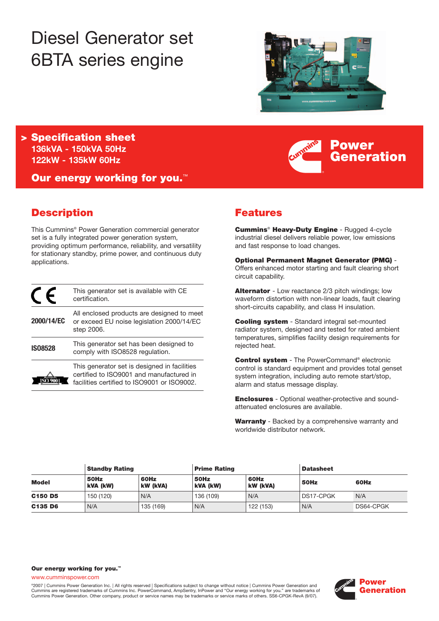# Diesel Generator set 6BTA series engine



**Power**

**Generation**

**> Specification sheet 136kVA - 150kVA 50Hz 122kW - 135kW 60Hz**

**Our energy working for you.**™

# **Description**

This Cummins® Power Generation commercial generator set is a fully integrated power generation system, providing optimum performance, reliability, and versatility for stationary standby, prime power, and continuous duty applications.

|                | This generator set is available with CE<br>certification.                                                                               |
|----------------|-----------------------------------------------------------------------------------------------------------------------------------------|
| 2000/14/EC     | All enclosed products are designed to meet<br>or exceed EU noise legislation 2000/14/EC<br>step 2006.                                   |
| <b>ISO8528</b> | This generator set has been designed to<br>comply with ISO8528 regulation.                                                              |
|                | This generator set is designed in facilities<br>certified to ISO9001 and manufactured in<br>facilities certified to ISO9001 or ISO9002. |

# **Features**

**Cummins**® **Heavy-Duty Engine** - Rugged 4-cycle industrial diesel delivers reliable power, low emissions and fast response to load changes.

**Optional Permanent Magnet Generator (PMG)** - Offers enhanced motor starting and fault clearing short circuit capability.

**Alternator** - Low reactance 2/3 pitch windings; low waveform distortion with non-linear loads, fault clearing short-circuits capability, and class H insulation.

**Cooling system** - Standard integral set-mounted radiator system, designed and tested for rated ambient temperatures, simplifies facility design requirements for rejected heat.

**Control system** - The PowerCommand® electronic control is standard equipment and provides total genset system integration, including auto remote start/stop, alarm and status message display.

**Enclosures** - Optional weather-protective and soundattenuated enclosures are available.

**Warranty** - Backed by a comprehensive warranty and worldwide distributor network.

|                                 | <b>Standby Rating</b> |                  | <b>Prime Rating</b> |                         | <b>Datasheet</b> |           |
|---------------------------------|-----------------------|------------------|---------------------|-------------------------|------------------|-----------|
| <b>Model</b>                    | 50Hz<br>kVA (kW)      | 60Hz<br>kW (kVA) | 50Hz<br>kVA (kW)    | 60Hz<br><b>kW (kVA)</b> | 50Hz             | 60Hz      |
| C <sub>150</sub> D <sub>5</sub> | 150 (120)             | N/A              | 136 (109)           | N/A                     | <b>DS17-CPGK</b> | N/A       |
| C135 D6                         | N/A                   | 135 (169)        | N/A                 | 122 (153)               | N/A              | DS64-CPGK |

#### **Our energy working for you.™**

www.cumminspower.com

°2007 | Cummins Power Generation Inc. | All rights reserved | Specifications subject to change without notice | Cummins Power Generation and<br>Cummins are registered trademarks of Cummins Inc. PowerCommand, AmpSentry, InPow Cummins Power Generation. Other company, product or service names may be trademarks or service marks of others. SS6-CPGK-RevA (9/07).

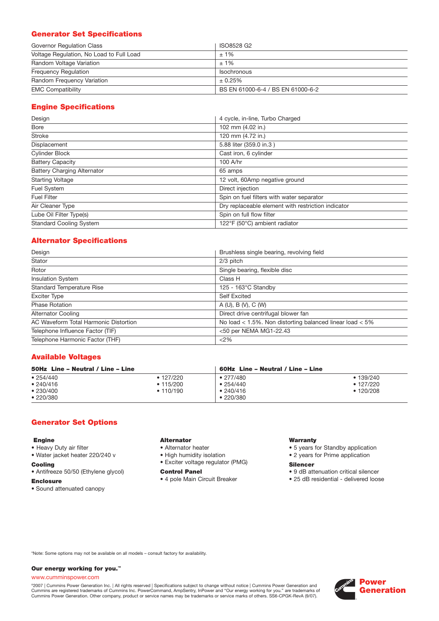# **Generator Set Specifications**

| Governor Regulation Class                | ISO8528 G2                        |
|------------------------------------------|-----------------------------------|
| Voltage Regulation, No Load to Full Load | $±1\%$                            |
| Random Voltage Variation                 | $±1\%$                            |
| <b>Frequency Requiation</b>              | <b>Isochronous</b>                |
| Random Frequency Variation               | ± 0.25%                           |
| <b>EMC Compatibility</b>                 | BS EN 61000-6-4 / BS EN 61000-6-2 |

# **Engine Specifications**

| Design                             | 4 cycle, in-line, Turbo Charged                    |
|------------------------------------|----------------------------------------------------|
| Bore                               | 102 mm (4.02 in.)                                  |
| <b>Stroke</b>                      | 120 mm (4.72 in.)                                  |
| Displacement                       | 5.88 liter (359.0 in.3)                            |
| <b>Cylinder Block</b>              | Cast iron, 6 cylinder                              |
| <b>Battery Capacity</b>            | 100 A/hr                                           |
| <b>Battery Charging Alternator</b> | 65 amps                                            |
| <b>Starting Voltage</b>            | 12 volt, 60Amp negative ground                     |
| Fuel System                        | Direct injection                                   |
| <b>Fuel Filter</b>                 | Spin on fuel filters with water separator          |
| Air Cleaner Type                   | Dry replaceable element with restriction indicator |
| Lube Oil Filter Type(s)            | Spin on full flow filter                           |
| <b>Standard Cooling System</b>     | 122°F (50°C) ambient radiator                      |

## **Alternator Specifications**

| Design                                | Brushless single bearing, revolving field                    |
|---------------------------------------|--------------------------------------------------------------|
| Stator                                | 2/3 pitch                                                    |
| Rotor                                 | Single bearing, flexible disc                                |
| <b>Insulation System</b>              | Class H                                                      |
| <b>Standard Temperature Rise</b>      | $125 - 163^{\circ}$ C Standby                                |
| <b>Exciter Type</b>                   | <b>Self Excited</b>                                          |
| <b>Phase Rotation</b>                 | A(U), B(V), C(W)                                             |
| <b>Alternator Cooling</b>             | Direct drive centrifugal blower fan                          |
| AC Waveform Total Harmonic Distortion | No load $<$ 1.5%. Non distorting balanced linear load $<$ 5% |
| Telephone Influence Factor (TIF)      | <50 per NEMA MG1-22.43                                       |
| Telephone Harmonic Factor (THF)       | <2%                                                          |

## **Available Voltages**

| 50Hz Line - Neutral / Line - Line             |                                                   | 60Hz Line – Neutral / Line – Line                              |                                                 |
|-----------------------------------------------|---------------------------------------------------|----------------------------------------------------------------|-------------------------------------------------|
| •254/440<br>• 240/416<br>•230/400<br>•220/380 | $\bullet$ 127/220<br>$\cdot$ 115/200<br>• 110/190 | $\bullet$ 277/480<br>•254/440<br>•240/416<br>$\bullet$ 220/380 | • 139/240<br>$\cdot$ 127/220<br>$\cdot$ 120/208 |

## **Generator Set Options**

#### **Engine**

- Heavy Duty air filter
- Water jacket heater 220/240 v

#### **Cooling**

- Antifreeze 50/50 (Ethylene glycol)
- **Enclosure**
- Sound attenuated canopy

# **Alternator**

- Alternator heater
- High humidity isolation
- Exciter voltage regulator (PMG)

#### **Control Panel**

• 4 pole Main Circuit Breaker

#### **Warranty**

- 5 years for Standby application
- 2 years for Prime application

#### **Silencer**

- 9 dB attenuation critical silencer
- 25 dB residential delivered loose

\*Note: Some options may not be available on all models – consult factory for availability.

#### **Our energy working for you.™**

#### www.cumminspower.com

°2007 | Cummins Power Generation Inc. | All rights reserved | Specifications subject to change without notice | Cummins Power Generation and<br>Cummins are registered trademarks of Cummins Inc. PowerCommand, AmpSentry, InPow

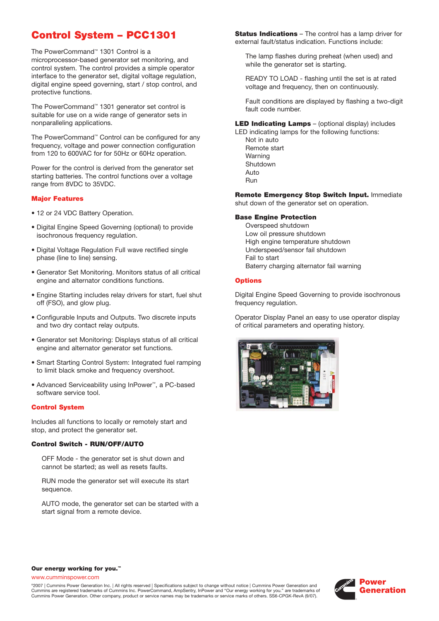# **Control System – PCC1301**

The PowerCommand™ 1301 Control is a microprocessor-based generator set monitoring, and control system. The control provides a simple operator interface to the generator set, digital voltage regulation, digital engine speed governing, start / stop control, and protective functions.

The PowerCommand™ 1301 generator set control is suitable for use on a wide range of generator sets in nonparalleling applications.

The PowerCommand™ Control can be configured for any frequency, voltage and power connection configuration from 120 to 600VAC for for 50Hz or 60Hz operation.

Power for the control is derived from the generator set starting batteries. The control functions over a voltage range from 8VDC to 35VDC.

#### **Major Features**

- 12 or 24 VDC Battery Operation.
- Digital Engine Speed Governing (optional) to provide isochronous frequency regulation.
- Digital Voltage Regulation Full wave rectified single phase (line to line) sensing.
- Generator Set Monitoring. Monitors status of all critical engine and alternator conditions functions.
- Engine Starting includes relay drivers for start, fuel shut off (FSO), and glow plug.
- Configurable Inputs and Outputs. Two discrete inputs and two dry contact relay outputs.
- Generator set Monitoring: Displays status of all critical engine and alternator generator set functions.
- Smart Starting Control System: Integrated fuel ramping to limit black smoke and frequency overshoot.
- Advanced Serviceability using InPower™, a PC-based software service tool.

#### **Control System**

Includes all functions to locally or remotely start and stop, and protect the generator set.

#### **Control Switch - RUN/OFF/AUTO**

OFF Mode - the generator set is shut down and cannot be started; as well as resets faults.

RUN mode the generator set will execute its start sequence.

AUTO mode, the generator set can be started with a start signal from a remote device.

**Status Indications** – The control has a lamp driver for external fault/status indication. Functions include:

The lamp flashes during preheat (when used) and while the generator set is starting.

READY TO LOAD - flashing until the set is at rated voltage and frequency, then on continuously.

Fault conditions are displayed by flashing a two-digit fault code number.

**LED Indicating Lamps** – (optional display) includes

LED indicating lamps for the following functions: Not in auto Remote start Warning Shutdown Auto Run

**Remote Emergency Stop Switch Input.** Immediate shut down of the generator set on operation.

#### **Base Engine Protection**

Overspeed shutdown Low oil pressure shutdown High engine temperature shutdown Underspeed/sensor fail shutdown Fail to start Baterry charging alternator fail warning

#### **Options**

Digital Engine Speed Governing to provide isochronous frequency regulation.

Operator Display Panel an easy to use operator display of critical parameters and operating history.



#### **Our energy working for you.™**

www.cumminspower.com

©2007 | Cummins Power Generation Inc. | All rights reserved | Specifications subject to change without notice | Cummins Power Generation and Cummins are registered trademarks of Cummins Inc. PowerCommand, AmpSentry, InPower and "Our energy working for you." are trademarks of Cummins Power Generation. Other company, product or service names may be trademarks or service marks of others. SS6-CPGK-RevA (9/07).